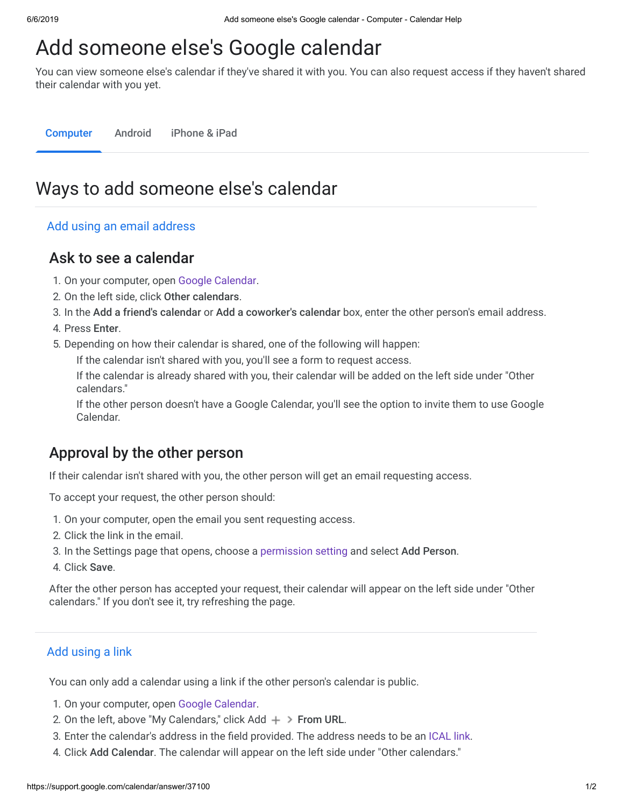# Add someone else's Google calendar

You can view someone else's calendar if they've shared it with you. You can also request access if they haven't shared their calendar with you yet.

Computer Android iPhone & iPad

## Ways to add someone else's calendar

#### Add using an email address

### Ask to see a calendar

- 1. On your computer, open [Google Calendar.](https://calendar.google.com/)
- 2. On the left side, click Other calendars.
- 3. In the Add a friend's calendar or Add a coworker's calendar box, enter the other person's email address.
- 4. Press Enter.
- 5. Depending on how their calendar is shared, one of the following will happen:

If the calendar isn't shared with you, you'll see a form to request access.

If the calendar is already shared with you, their calendar will be added on the left side under "Other calendars."

If the other person doesn't have a Google Calendar, you'll see the option to invite them to use Google Calendar.

## Approval by the other person

If their calendar isn't shared with you, the other person will get an email requesting access.

To accept your request, the other person should:

- 1. On your computer, open the email you sent requesting access.
- 2. Click the link in the email.
- 3. In the Settings page that opens, choose a [permission setting](https://support.google.com/calendar/answer/37082#permissions) and select Add Person.
- 4. Click Save.

After the other person has accepted your request, their calendar will appear on the left side under "Other calendars." If you don't see it, try refreshing the page.

#### Add using a link

You can only add a calendar using a link if the other person's calendar is public.

- 1. On your computer, open [Google Calendar.](https://calendar.google.com/)
- 2. On the left, above "My Calendars," click Add  $+$  > From URL.
- 3. Enter the calendar's address in the field provided. The address needs to be an [ICAL link.](https://support.google.com/calendar/answer/37083#link)
- 4. Click Add Calendar. The calendar will appear on the left side under "Other calendars."